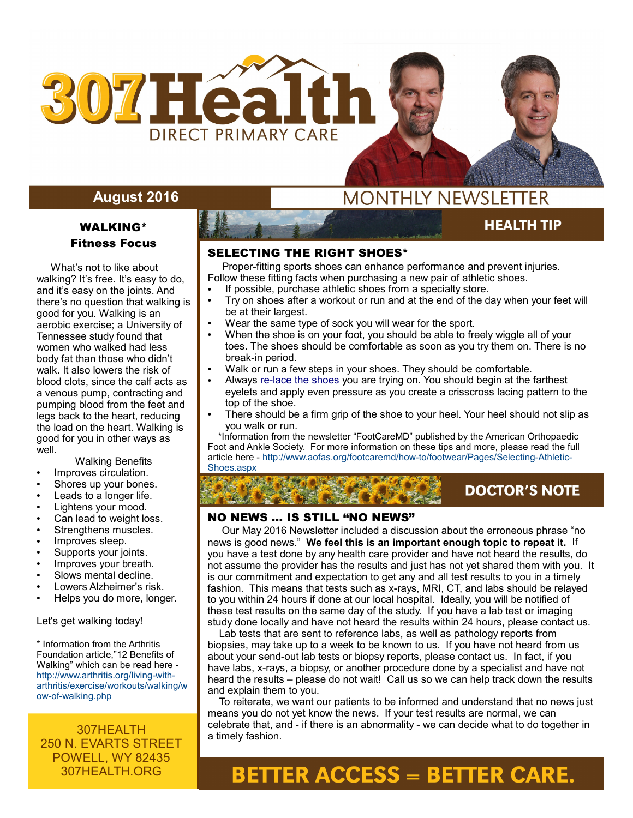

## **August 2016**

## WALKING\* Fitness Focus

 What's not to like about walking? It's free. It's easy to do, and it's easy on the joints. And there's no question that walking is good for you. Walking is an aerobic exercise; a University of Tennessee study found that women who walked had less body fat than those who didn't walk. It also lowers the risk of blood clots, since the calf acts as a venous pump, contracting and pumping blood from the feet and legs back to the heart, reducing the load on the heart. Walking is good for you in other ways as well.

### Walking Benefits

- Improves circulation.
- Shores up your bones.
- Leads to a longer life.
- Lightens your mood.
- Can lead to weight loss.
- Strengthens muscles.
- Improves sleep.
- Supports your joints.
- Improves your breath.
- Slows mental decline.
- Lowers Alzheimer's risk.
- Helps you do more, longer.

Let's get walking today!

\* Information from the Arthritis Foundation article,"12 Benefits of Walking" which can be read here http://www.arthritis.org/living-witharthritis/exercise/workouts/walking/w ow-of-walking.php

## 307HEALTH 250 N. EVARTS STREET POWELL, WY 82435 307HEALTH.ORG

# **MONTHLY NEWSLETTER**

## **HEALTH TIP**

**AUGUST 2015** 

## SELECTING THE RIGHT SHOES\*

 Proper-fitting sports shoes can enhance performance and prevent injuries. Follow these fitting facts when purchasing a new pair of athletic shoes.

- If possible, purchase athletic shoes from a specialty store.
- Try on shoes after a workout or run and at the end of the day when your feet will be at their largest.
- Wear the same type of sock you will wear for the sport.
- When the shoe is on your foot, you should be able to freely wiggle all of your toes. The shoes should be comfortable as soon as you try them on. There is no break-in period.
- Walk or run a few steps in your shoes. They should be comfortable.
- Always [re-lace the shoes](file:///footcaremd/how-to/footwear/Pages/Lacing-Techniques-for-Proper-Shoe-Fit.aspx) you are trying on. You should begin at the farthest eyelets and apply even pressure as you create a crisscross lacing pattern to the top of the shoe.
- There should be a firm grip of the shoe to your heel. Your heel should not slip as you walk or run.

 \*Information from the newsletter "FootCareMD" published by the American Orthopaedic Foot and Ankle Society. For more information on these tips and more, please read the full article here - http://www.aofas.org/footcaremd/how-to/footwear/Pages/Selecting-Athletic-Shoes.aspx

# **DOCTOR'S NOTE**

## NO NEWS … IS STILL "NO NEWS"

 Our May 2016 Newsletter included a discussion about the erroneous phrase "no news is good news." **We feel this is an important enough topic to repeat it.** If you have a test done by any health care provider and have not heard the results, do not assume the provider has the results and just has not yet shared them with you. It is our commitment and expectation to get any and all test results to you in a timely fashion. This means that tests such as x-rays, MRI, CT, and labs should be relayed to you within 24 hours if done at our local hospital. Ideally, you will be notified of these test results on the same day of the study. If you have a lab test or imaging study done locally and have not heard the results within 24 hours, please contact us.

 Lab tests that are sent to reference labs, as well as pathology reports from biopsies, may take up to a week to be known to us. If you have not heard from us about your send-out lab tests or biopsy reports, please contact us. In fact, if you have labs, x-rays, a biopsy, or another procedure done by a specialist and have not heard the results – please do not wait! Call us so we can help track down the results and explain them to you.

 To reiterate, we want our patients to be informed and understand that no news just means you do not yet know the news. If your test results are normal, we can celebrate that, and - if there is an abnormality - we can decide what to do together in a timely fashion.

# **BETTER ACCESS = BETTER CARE.**